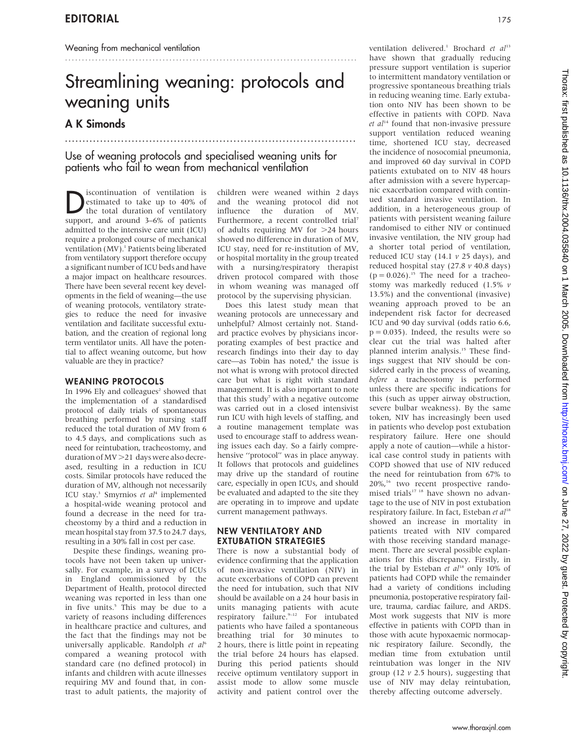# Streamlining weaning: protocols and weaning units

.......................................................................................

## A K Simonds

Use of weaning protocols and specialised weaning units for patients who fail to wean from mechanical ventilation

...................................................................................

**D**iscontinuation of ventilation is<br>the total duration of ventilatory<br>support and around  $\frac{3}{2}6\%$  of patients estimated to take up to 40% of the total duration of ventilatory support, and around 3–6% of patients admitted to the intensive care unit (ICU) require a prolonged course of mechanical ventilation (MV).<sup>1</sup> Patients being liberated from ventilatory support therefore occupy a significant number of ICU beds and have a major impact on healthcare resources. There have been several recent key developments in the field of weaning—the use of weaning protocols, ventilatory strategies to reduce the need for invasive ventilation and facilitate successful extubation, and the creation of regional long term ventilator units. All have the potential to affect weaning outcome, but how valuable are they in practice?

#### WEANING PROTOCOLS

In 1996 Ely and colleagues<sup>2</sup> showed that the implementation of a standardised protocol of daily trials of spontaneous breathing performed by nursing staff reduced the total duration of MV from 6 to 4.5 days, and complications such as need for reintubation, tracheostomy, and duration of MV > 21 days were also decreased, resulting in a reduction in ICU costs. Similar protocols have reduced the duration of MV, although not necessarily ICU stay.<sup>3</sup> Smyrnios et al<sup>4</sup> implemented a hospital-wide weaning protocol and found a decrease in the need for tracheostomy by a third and a reduction in mean hospital stay from 37.5 to 24.7 days, resulting in a 30% fall in cost per case.

Despite these findings, weaning protocols have not been taken up universally. For example, in a survey of ICUs in England commissioned by the Department of Health, protocol directed weaning was reported in less than one in five units.<sup>5</sup> This may be due to a variety of reasons including differences in healthcare practice and cultures, and the fact that the findings may not be universally applicable. Randolph et al<sup>6</sup> compared a weaning protocol with standard care (no defined protocol) in infants and children with acute illnesses requiring MV and found that, in contrast to adult patients, the majority of children were weaned within 2 days and the weaning protocol did not influence the duration of MV. Furthermore, a recent controlled trial<sup>7</sup> of adults requiring MV for  $>24$  hours showed no difference in duration of MV, ICU stay, need for re-institution of MV, or hospital mortality in the group treated with a nursing/respiratory therapist driven protocol compared with those in whom weaning was managed off protocol by the supervising physician.

Does this latest study mean that weaning protocols are unnecessary and unhelpful? Almost certainly not. Standard practice evolves by physicians incorporating examples of best practice and research findings into their day to day  $care$ —as Tobin has noted, $^8$  the issue is not what is wrong with protocol directed care but what is right with standard management. It is also important to note that this study<sup>7</sup> with a negative outcome was carried out in a closed intensivist run ICU with high levels of staffing, and a routine management template was used to encourage staff to address weaning issues each day. So a fairly comprehensive ''protocol'' was in place anyway. It follows that protocols and guidelines may drive up the standard of routine care, especially in open ICUs, and should be evaluated and adapted to the site they are operating in to improve and update current management pathways.

#### NEW VENTILATORY AND EXTUBATION STRATEGIES

There is now a substantial body of evidence confirming that the application of non-invasive ventilation (NIV) in acute excerbations of COPD can prevent the need for intubation, such that NIV should be available on a 24 hour basis in units managing patients with acute respiratory failure.<sup>9-12</sup> For intubated patients who have failed a spontaneous breathing trial for 30 minutes to 2 hours, there is little point in repeating the trial before 24 hours has elapsed. During this period patients should receive optimum ventilatory support in assist mode to allow some muscle activity and patient control over the

ventilation delivered.<sup>1</sup> Brochard et al<sup>13</sup> have shown that gradually reducing pressure support ventilation is superior to intermittent mandatory ventilation or progressive spontaneous breathing trials in reducing weaning time. Early extubation onto NIV has been shown to be effective in patients with COPD. Nava  $et$   $al<sup>14</sup>$  found that non-invasive pressure support ventilation reduced weaning time, shortened ICU stay, decreased the incidence of nosocomial pneumonia, and improved 60 day survival in COPD patients extubated on to NIV 48 hours after admission with a severe hypercapnic exacerbation compared with continued standard invasive ventilation. In addition, in a heterogeneous group of patients with persistent weaning failure randomised to either NIV or continued invasive ventilation, the NIV group had a shorter total period of ventilation, reduced ICU stay (14.1  $\nu$  25 days), and reduced hospital stay  $(27.8 v 40.8 \text{ days})$  $(p = 0.026).$ <sup>15</sup> The need for a tracheostomy was markedly reduced (1.5% v 13.5%) and the conventional (invasive) weaning approach proved to be an independent risk factor for decreased ICU and 90 day survival (odds ratio 6.6,  $p = 0.035$ ). Indeed, the results were so clear cut the trial was halted after planned interim analysis.15 These findings suggest that NIV should be considered early in the process of weaning, before a tracheostomy is performed unless there are specific indications for this (such as upper airway obstruction, severe bulbar weakness). By the same token, NIV has increasingly been used in patients who develop post extubation respiratory failure. Here one should apply a note of caution—while a historical case control study in patients with COPD showed that use of NIV reduced the need for reintubation from 67% to 20%,16 two recent prospective randomised trials<sup>17</sup><sup>18</sup> have shown no advantage to the use of NIV in post extubation respiratory failure. In fact, Esteban et al<sup>18</sup> showed an increase in mortality in patients treated with NIV compared with those receiving standard management. There are several possible explanations for this discrepancy. Firstly, in the trial by Esteban et  $al^{18}$  only 10% of patients had COPD while the remainder had a variety of conditions including pneumonia, postoperative respiratory failure, trauma, cardiac failure, and ARDS. Most work suggests that NIV is more effective in patients with COPD than in those with acute hypoxaemic normocapnic respiratory failure. Secondly, the median time from extubation until reintubation was longer in the NIV group (12  $\nu$  2.5 hours), suggesting that use of NIV may delay reintubation, thereby affecting outcome adversely.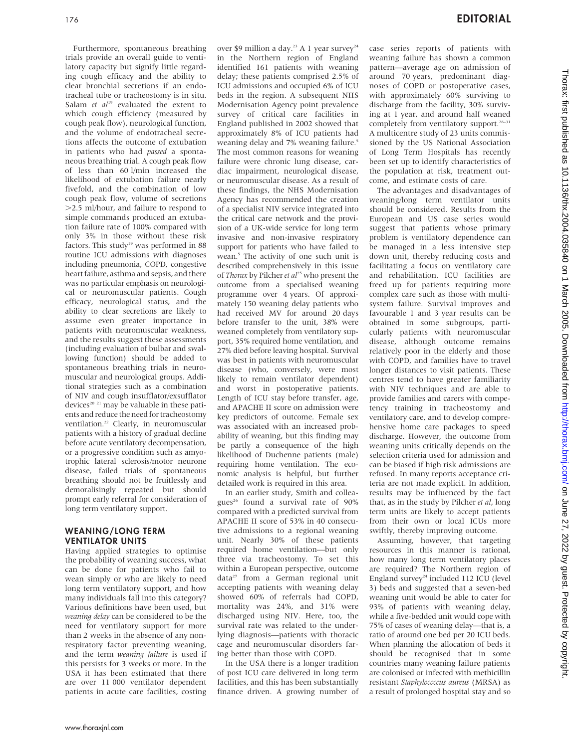Furthermore, spontaneous breathing trials provide an overall guide to ventilatory capacity but signify little regarding cough efficacy and the ability to clear bronchial secretions if an endotracheal tube or tracheostomy is in situ. Salam et  $al^{19}$  evaluated the extent to which cough efficiency (measured by cough peak flow), neurological function, and the volume of endotracheal secretions affects the outcome of extubation in patients who had passed a spontaneous breathing trial. A cough peak flow of less than 60 l/min increased the likelihood of extubation failure nearly fivefold, and the combination of low cough peak flow, volume of secretions .2.5 ml/hour, and failure to respond to simple commands produced an extubation failure rate of 100% compared with only 3% in those without these risk factors. This study<sup>19</sup> was performed in 88 routine ICU admissions with diagnoses including pneumonia, COPD, congestive heart failure, asthma and sepsis, and there was no particular emphasis on neurological or neuromuscular patients. Cough efficacy, neurological status, and the ability to clear secretions are likely to assume even greater importance in patients with neuromuscular weakness, and the results suggest these assessments (including evaluation of bulbar and swallowing function) should be added to spontaneous breathing trials in neuromuscular and neurological groups. Additional strategies such as a combination of NIV and cough insufflator/exsufflator devices<sup>20</sup><sup>21</sup> may be valuable in these patients and reduce the need for tracheostomy ventilation.22 Clearly, in neuromuscular patients with a history of gradual decline before acute ventilatory decompensation, or a progressive condition such as amyotrophic lateral sclerosis/motor neurone disease, failed trials of spontaneous breathing should not be fruitlessly and demoralisingly repeated but should prompt early referral for consideration of long term ventilatory support.

#### WEANING/LONG TERM VENTILATOR UNITS

Having applied strategies to optimise the probability of weaning success, what can be done for patients who fail to wean simply or who are likely to need long term ventilatory support, and how many individuals fall into this category? Various definitions have been used, but weaning delay can be considered to be the need for ventilatory support for more than 2 weeks in the absence of any nonrespiratory factor preventing weaning, and the term weaning failure is used if this persists for 3 weeks or more. In the USA it has been estimated that there are over 11 000 ventilator dependent patients in acute care facilities, costing over \$9 million a day.<sup>23</sup> A 1 year survey<sup>24</sup> in the Northern region of England identified 161 patients with weaning delay; these patients comprised 2.5% of ICU admissions and occupied 6% of ICU beds in the region. A subsequent NHS Modernisation Agency point prevalence survey of critical care facilities in England published in 2002 showed that approximately 8% of ICU patients had weaning delay and 7% weaning failure.<sup>5</sup> The most common reasons for weaning failure were chronic lung disease, cardiac impairment, neurological disease, or neuromuscular disease. As a result of these findings, the NHS Modernisation Agency has recommended the creation of a specialist NIV service integrated into the critical care network and the provision of a UK-wide service for long term invasive and non-invasive respiratory support for patients who have failed to wean.<sup>5</sup> The activity of one such unit is described comprehensively in this issue of Thorax by Pilcher et  $al^{25}$  who present the outcome from a specialised weaning programme over 4 years. Of approximately 150 weaning delay patients who had received MV for around 20 days before transfer to the unit, 38% were weaned completely from ventilatory support, 35% required home ventilation, and 27% died before leaving hospital. Survival was best in patients with neuromuscular disease (who, conversely, were most likely to remain ventilator dependent) and worst in postoperative patients. Length of ICU stay before transfer, age, and APACHE II score on admission were key predictors of outcome. Female sex was associated with an increased probability of weaning, but this finding may be partly a consequence of the high likelihood of Duchenne patients (male) requiring home ventilation. The economic analysis is helpful, but further detailed work is required in this area.

In an earlier study, Smith and colleagues<sup>26</sup> found a survival rate of 90% compared with a predicted survival from APACHE II score of 53% in 40 consecutive admissions to a regional weaning unit. Nearly 30% of these patients required home ventilation—but only three via tracheostomy. To set this within a European perspective, outcome data<sup>27</sup> from a German regional unit accepting patients with weaning delay showed 60% of referrals had COPD, mortality was 24%, and 31% were discharged using NIV. Here, too, the survival rate was related to the underlying diagnosis—patients with thoracic cage and neuromuscular disorders faring better than those with COPD.

In the USA there is a longer tradition of post ICU care delivered in long term facilities, and this has been substantially finance driven. A growing number of case series reports of patients with weaning failure has shown a common pattern—average age on admission of around 70 years, predominant diagnoses of COPD or postoperative cases, with approximately 60% surviving to discharge from the facility, 30% surviving at 1 year, and around half weaned completely from ventilatory support.<sup>28-31</sup> A multicentre study of 23 units commissioned by the US National Association of Long Term Hospitals has recently been set up to identify characteristics of the population at risk, treatment outcome, and estimate costs of care.

The advantages and disadvantages of weaning/long term ventilator units should be considered. Results from the European and US case series would suggest that patients whose primary problem is ventilatory dependence can be managed in a less intensive step down unit, thereby reducing costs and facilitating a focus on ventilatory care and rehabilitation. ICU facilities are freed up for patients requiring more complex care such as those with multisystem failure. Survival improves and favourable 1 and 3 year results can be obtained in some subgroups, particularly patients with neuromuscular disease, although outcome remains relatively poor in the elderly and those with COPD, and families have to travel longer distances to visit patients. These centres tend to have greater familiarity with NIV techniques and are able to provide families and carers with competency training in tracheostomy and ventilatory care, and to develop comprehensive home care packages to speed discharge. However, the outcome from weaning units critically depends on the selection criteria used for admission and can be biased if high risk admissions are refused. In many reports acceptance criteria are not made explicit. In addition, results may be influenced by the fact that, as in the study by Pilcher et al, long term units are likely to accept patients from their own or local ICUs more swiftly, thereby improving outcome.

Assuming, however, that targeting resources in this manner is rational, how many long term ventilatory places are required? The Northern region of England survey<sup>24</sup> included 112 ICU (level 3) beds and suggested that a seven-bed weaning unit would be able to cater for 93% of patients with weaning delay, while a five-bedded unit would cope with 75% of cases of weaning delay—that is, a ratio of around one bed per 20 ICU beds. When planning the allocation of beds it should be recognised that in some countries many weaning failure patients are colonised or infected with methicillin resistant Staphylococcus aureus (MRSA) as a result of prolonged hospital stay and so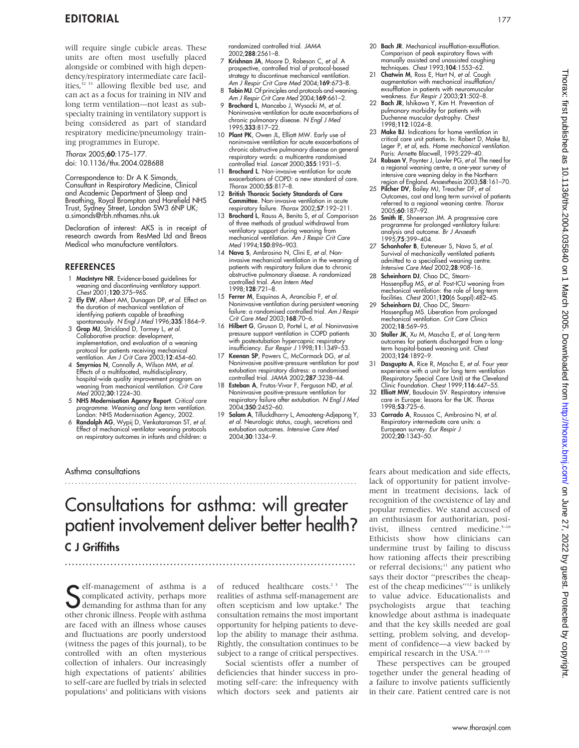will require single cubicle areas. These units are often most usefully placed alongside or combined with high dependency/respiratory intermediate care facilities,<sup>32 33</sup> allowing flexible bed use, and can act as a focus for training in NIV and long term ventilation—not least as subspecialty training in ventilatory support is being considered as part of standard respiratory medicine/pneumology training programmes in Europe.

Thorax 2005;60:175–177. doi: 10.1136/thx.2004.028688

Correspondence to: Dr A K Simonds, Consultant in Respiratory Medicine, Clinical and Academic Department of Sleep and Breathing, Royal Brompton and Harefield NHS Trust, Sydney Street, London SW3 6NP UK; a.simonds@rbh.nthames.nhs.uk

Declaration of interest: AKS is in receipt of research awards from ResMed Ltd and Breas Medical who manufacture ventilators.

#### **REFERENCES**

- 1 MacIntyre NR. Evidence-based guidelines for weaning and discontinuing ventilatory support. Chest 2001;120:375–96S.
- 2 Ely EW, Albert AM, Dunagan DP, et al. Effect on the duration of mechanical ventilation of identifying patients capable of breathing spontaneously. N Engl J Med 1996;335:1864-9.
- 3 Grap MJ, Strickland D, Tormey L, et al. Collaborative practice: development, implementation, and evaluation of a weaning protocol for patients receiving mechanical ventilation. Am J Crit Care 2003;12:454–60.
- 4 Smyrnios N, Connolly A, Wilson MM, et al. Effects of a multifaceted, multidisciplinary, hospital-wide quality improvement program on weaning from mechanical ventilation. Crit Care Med 2002;**30**:1224–30.
- 5 NHS Modernisation Agency Report. Critical care programme. Weaning and long term ventilation. London: NHS Modernisation Agency, 2002.
- 6 Randolph AG, Wypij D, Venkataraman ST, et al. Effect of mechanical ventilator weaning protocols on respiratory outcomes in infants and children: a

Asthma consultations

randomized controlled trial. JAMA 2002;288:2561–8.

- 7 Krishnan JA, Moore D, Robeson C, et al. A prospective, controlled trial of protocol-based strategy to discontinue mechanical ventilation. Am J Respir Crit Care Med 2004;169:673–8.
- 8 Tobin MJ. Of principles and protocols and weaning. Am J Respir Crit Care Med 2004;169:661–2.
- 9 Brochard L, Mancebo J, Wysocki M, et al. Noninvasive ventilation for acute exacerbations of chronic pulmonary disease. N Engl J Med 1995;333:817–22.
- 10 Plant PK, Owen JL, Elliott MW. Early use of noninvasive ventilation for acute exacerbations of chronic obstructive pulmonary disease on general respiratory wards: a multicentre randomised controlled trial. Lancet 2000;355:1931–5.
- 11 **Brochard L**. Non-invasive ventilation for acute exacerbations of COPD: a new standard of care. Thorax 2000;55:817–8.
- 12 British Thoracic Society Standards of Care Committee. Non-invasive ventilation in acute respiratory failure. Thorax 2002;57:192–211.
- 13 **Brochard L**, Rauss A, Benito S, et al. Comparison of three methods of gradual withdrawal from ventilatory support during weaning from mechanical ventilation. Am J Respir Crit Care Med 1994;150:896-903.
- 14 Nava S, Ambrosino N, Clini E, et al. Noninvasive mechanical ventilation in the weaning of patients with respiratory failure due to chronic obstructive pulmonary disease. A randomized controlled trial. Ann Intern Med 1998;128:721–8.
- 15 Ferrer M, Esquinas A, Arancibia F, et al. Noninvasive ventilation during persistent weaning failure: a randomised controlled trial. Am J Respir Crit Care Med 2003;168:70-6.
- 16 Hilbert G, Gruson D, Portel L, et al. Noninvasive pressure support ventilation in COPD patients with postextubation hypercapnic respiratory insufficiency. Eur Respir J 1998;11:1349–53.
- 17 Keenan SP, Powers C, McCormack DG, et al. Noninvasive positive-pressure ventilation for post extubation respiratory distress: a randomised controlled trial. JAMA 2002;287:3238–44.
- 18 Esteban A, Frutos-Vivar F, Ferguson ND, et al. Noninvasive positive-pressure ventilation for respiratory failure after extubation. *N Engl J Med*<br>2004;**350**:2452–60.
- 19 Salam A, Tilluckdharry L, Amoateng-Adjepong Y, et al. Neurologic status, cough, secretions and extubation outcomes. Intensive Care Med 2004;30:1334–9.
- 20 Bach JR. Mechanical insufflation-exsufflation. Comparison of peak expiratory flows with manually assisted and unassisted coughing techniques. Chest 1993;104:1553–62.
- 21 Chatwin M, Ross E, Hart N, et al. Cough augmentation with mechanical insufflation/ exsufflation in patients with neuromuscular weakness. Eur Respir J 2003;21:502–8.
- 22 Bach JR, Ishikawa<sup>'</sup>Y, Kim H. Prevention of pulmonary morbidity for patients with Duchenne muscular dystrophy. Chest 1998;112:1024–8.
- 23 Make BJ. Indications for home ventilation in critical care unit patients. In: Robert D, Make BJ, Leger P, et al, eds. Home mechanical ventilation. Paris: Arnette Blacwell, 1995:229–40.
- 24 Robson V, Poynter J, Lawler PG, et al. The need for a regional weaning centre, a one-year survey of intensive care weaning delay in the Northern region of England. Anaesthesia 2003;58:161–70.
- 25 Pilcher DV, Bailey MJ, Treacher DF, et al. Outcomes, cost and long term survival of patients referred to a regional weaning centre. Thorax 2005;60:187–92.
- 26 Smith IE, Shneerson JM. A progressive care programme for prolonged ventilatory failure: analysis and outcome. Br J Anaesth 1995;75:399–404.
- 27 Schonhofer B, Euteneuer S, Nava S, et al. Survival of mechanically ventilated patients admitted to a specialised weaning centre. Intensive Care Med 2002;28:908–16.
- 28 Scheinhorn DJ, Chao DC, Stearn-Hassenpflug MS, et al. Post-ICU weaning from mechanical ventilation: the role of long-term facilities. Chest 2001;120(6 Suppl):482–4S.
- 29 Scheinhorn DJ, Chao DC, Stearn-Hassenpflug MS. Liberation from prolonged mechanical ventilation. Crit Care Clinics 2002;18:569–95.
- 30 Stoller JK, Xu M, Mascha E, et al. Long-term outcomes for patients discharged from a longterm hospital-based weaning unit. Chest 2003;124:1892–9.
- 31 Dasgupta A, Rice R, Mascha E, et al. Four year experience with a unit for long term ventilation (Respiratory Special Care Unit) at the Cleveland Clinic Foundation. Chest 1999;116:447–55.
- 32 Elliott MW, Baudouin SV. Respiratory intensive care in Europe: lessons for the UK. Thorax 1998;53:725–6.
- 33 Corrado A, Roussos C, Ambrosino N, et al. Respiratory intermediate care units: a European survey. Eur Respir J 2002;20:1343–50.

Consultations for asthma: will greater patient involvement deliver better health? C J Griffiths ...................................................................................

.......................................................................................

Self-management of asthma is a<br>
Somplicated activity, perhaps more<br>
demanding for asthma than for any<br>
other chronic illness. Boods with asthma complicated activity, perhaps more demanding for asthma than for any other chronic illness. People with asthma are faced with an illness whose causes and fluctuations are poorly understood (witness the pages of this journal), to be controlled with an often mysterious collection of inhalers. Our increasingly high expectations of patients' abilities to self-care are fuelled by trials in selected  $\operatorname{populations^1}$  and politicians with visions

of reduced healthcare costs.<sup>23</sup> The realities of asthma self-management are often scepticism and low uptake.<sup>4</sup> The consultation remains the most important opportunity for helping patients to develop the ability to manage their asthma. Rightly, the consultation continues to be subject to a range of critical perspectives.

Social scientists offer a number of deficiencies that hinder success in promoting self-care: the infrequency with which doctors seek and patients air fears about medication and side effects, lack of opportunity for patient involvement in treatment decisions, lack of recognition of the coexistence of lay and popular remedies. We stand accused of an enthusiasm for authoritarian, positivist, illness centred medicine.<sup>5-10</sup> Ethicists show how clinicians can undermine trust by failing to discuss how rationing affects their prescribing or referral decisions;<sup>11</sup> any patient who says their doctor ''prescribes the cheapest of the cheap medicines"<sup>12</sup> is unlikely to value advice. Educationalists and psychologists argue that teaching knowledge about asthma is inadequate and that the key skills needed are goal setting, problem solving, and development of confidence—a view backed by empirical research in the USA.13–15

These perspectives can be grouped together under the general heading of a failure to involve patients sufficiently in their care. Patient centred care is not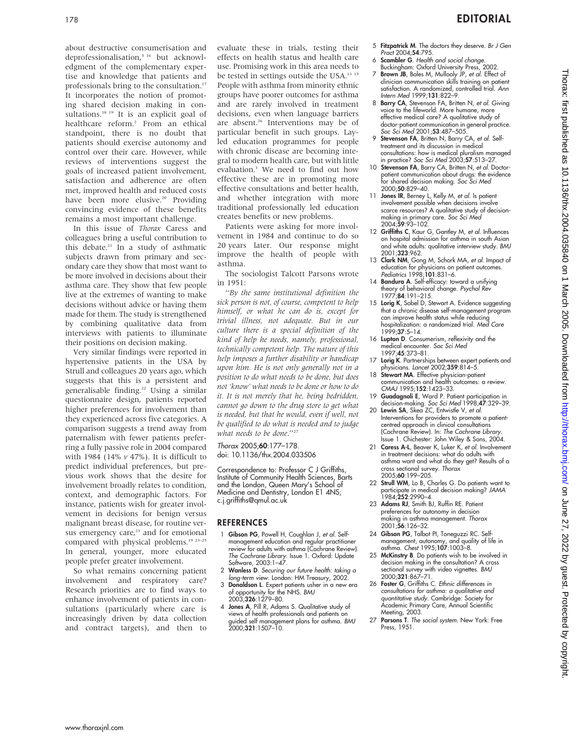about destructive consumerisation and deprofessionalisation,<sup>5 16</sup> but acknowledgment of the complementary expertise and knowledge that patients and professionals bring to the consultation.<sup>17</sup> It incorporates the notion of promoting shared decision making in consultations.<sup>18</sup> <sup>19</sup> It is an explicit goal of healthcare reform.<sup>2</sup> From an ethical standpoint, there is no doubt that patients should exercise autonomy and control over their care. However, while reviews of interventions suggest the goals of increased patient involvement, satisfaction and adherence are often met, improved health and reduced costs have been more elusive.<sup>20</sup> Providing convincing evidence of these benefits remains a most important challenge.

In this issue of Thorax Caress and colleagues bring a useful contribution to this debate. $21$  In a study of asthmatic subjects drawn from primary and secondary care they show that most want to be more involved in decisions about their asthma care. They show that few people live at the extremes of wanting to make decisions without advice or having them made for them. The study is strengthened by combining qualitative data from interviews with patients to illuminate their positions on decision making.

Very similar findings were reported in hypertensive patients in the USA by Strull and colleagues 20 years ago, which suggests that this is a persistent and generalisable finding.22 Using a similar questionnaire design, patients reported higher preferences for involvement than they experienced across five categories. A comparison suggests a trend away from paternalism with fewer patients preferring a fully passive role in 2004 compared with 1984 (14%  $\nu$  47%). It is difficult to predict individual preferences, but previous work shows that the desire for involvement broadly relates to condition, context, and demographic factors. For instance, patients wish for greater involvement in decisions for benign versus malignant breast disease, for routine versus emergency care, $23$  and for emotional compared with physical problems.<sup>19 23-25</sup> In general, younger, more educated people prefer greater involvement.

So what remains concerning patient involvement and respiratory care? Research priorities are to find ways to enhance involvement of patients in consultations (particularly where care is increasingly driven by data collection and contract targets), and then to

evaluate these in trials, testing their effects on health status and health care use. Promising work in this area needs to be tested in settings outside the USA.<sup>13 15</sup> People with asthma from minority ethnic groups have poorer outcomes for asthma and are rarely involved in treatment decisions, even when language barriers are absent.<sup>26</sup> Interventions may be of particular benefit in such groups. Layled education programmes for people with chronic disease are becoming integral to modern health care, but with little evaluation.3 We need to find out how effective these are in promoting more effective consultations and better health, and whether integration with more traditional professionally led education creates benefits or new problems.

Patients were asking for more involvement in 1984 and continue to do so 20 years later. Our response might improve the health of people with asthma.

The sociologist Talcott Parsons wrote in 1951:

''By the same institutional definition the sick person is not, of course, competent to help himself, or what he can do is, except for trivial illness, not adequate. But in our culture there is a special definition of the kind of help he needs, namely, professional, technically competent help. The nature of this help imposes a further disability or handicap upon him. He is not only generally not in a position to do what needs to be done, but does not 'know' what needs to be done or how to do it. It is not merely that he, being bedridden, cannot go down to the drug store to get what is needed, but that he would, even if well, not be qualified to do what is needed and to judge what needs to be done."<sup>27</sup>

Thorax 2005;60:177–178. doi: 10.1136/thx.2004.033506

Correspondence to: Professor C J Griffiths, Institute of Community Health Sciences, Barts and the London, Queen Mary's School of Medicine and Dentistry, London E1 4NS; c.j.griffiths@qmul.ac.uk

#### **REFERENCES**

- 1 Gibson PG, Powell H, Coughlan J, et al. Selfmanagement education and regular practitioner review for adults with asthma (Cochrane Review). The Cochrane Library. Issue 1. Oxford: Update Software, 2003:1–47.
- 2 Wanless D. Securing our future health: taking a long-term view. London: HM Treasury, 2002.
- 3 Donaldson L. Expert patients usher in a new era of opportunity for the NHS. BMJ 2003;326:1279–80.
- 4 Jones A, Pill R, Adams S. Qualitative study of views of health professionals and patients on guided self management plans for asthma. *BMJ*<br>2000;**321**:1507–10.
- 5 Fitzpatrick M. The doctors they deserve. Br J Gen Pract 2004;54:795.
- 6 Scambler G. Health and social change. Buckingham: Oxford University Press, 2002.
	- 7 Brown JB, Boles M, Mullooly JP, et al. Effect of clinician communication skills training on patient satisfaction. A randomized, controlled trial. Ann Intern Med 1999;131:822–9.
	- 8 Barry CA, Stevenson FA, Britten N, et al. Giving voice to the lifeworld. More humane, more effective medical care? A qualitative study of doctor-patient communication in general practice. Soc Sci Med 2001;53:487–505.
	- 9 Stevenson FA, Britten N, Barry CA, et al. Selftreatment and its discussion in medical consultations: how is medical pluralism managed in practice? Soc Sci Med 2003;57:513–27.
	- 10 Stevenson FA, Barry CA, Britten N, et al. Doctorpatient communication about drugs: the evidence for shared decision making. Soc Sci Med 2000;50:829–40.
	- 11 **Jones IR**, Berney L, Kelly M, et al. Is patient involvement possible when decisions involve scarce resources? A qualitative study of decisionmaking in primary care. *Soc Sci Med*<br>2004;**59**:93–102.
	- 12 Griffiths C, Kaur G, Gantley M, et al. Influences on hospital admission for asthma in south Asian and white adults: qualitative interview study. BMJ 2001;323:962.
	- 13 Clark NM, Gong M, Schork MA, et al. Impact of education for physicians on patient outcomes. Pediatrics 1998;101:831-6.
	- 14 **Bandura A**. Self-efficacy: toward a unifying theory of behavioral change. Psychol Rev 1977;84:191–215.
	- 15 Lorig K, Sobel D, Stewart A. Evidence suggesting that a chronic disease self-management program can improve health status while reducing hospitalization: a randomized trial. Med Care 1999;37:5–14.
	- 16 Lupton D. Consumerism, reflexivity and the medical encounter. Soc Sci Med 1997;45:373–81.
	- 17 Lorig K. Partnerships between expert patients and physicians. Lancet 2002;359:814–5.
	- 18 Stewart MA. Effective physician-patient communication and health outcomes: a review. CMAJ 1995;152:1423–33.
	- 19 Guadagnoli E, Ward P. Patient participation in decision-making. Soc Sci Med 1998;47:329–39.
	- 20 Lewin SA, Skea ZC, Entwistle V, et al. Interventions for providers to promote a patientcentred approach in clinical consultations (Cochrane Review). In: The Cochrane Library. Issue 1. Chichester: John Wiley & Sons, 2004.
	- 21 Caress A-L, Beaver K, Luker K, et al. Involvement in treatment decisions: what do adults with asthma want and what do they get? Results of a cross sectional survey. Thorax 2005;60:199–205.
	- 22 Strull WM, Lo B, Charles G. Do patients want to participate in medical decision making? JAMA 1984;252:2990–4.
	- 23 Adams RJ, Smith BJ, Ruffin RE. Patient preferences for autonomy in decision making in asthma management. Thorax 2001;56:126–32.
- 24 Gibson PG, Talbot PI, Toneguzzi RC. Selfmanagement, autonomy, and quality of life in asthma. Chest 1995;107:1003–8.
- 25 McKinstry B. Do patients wish to be involved in decision making in the consultation? A cross sectional survey with video vignettes. BMJ<br>2000;**321**:867–71.
- 26 Foster G, Griffiths C. Ethnic differences in consultations for asthma: a qualitative and quantitative study. Cambridge: Society for Academic Primary Care, Annual Scientific Meeting, 2003.
- 27 Parsons T. The social system. New York: Free Press, 1951.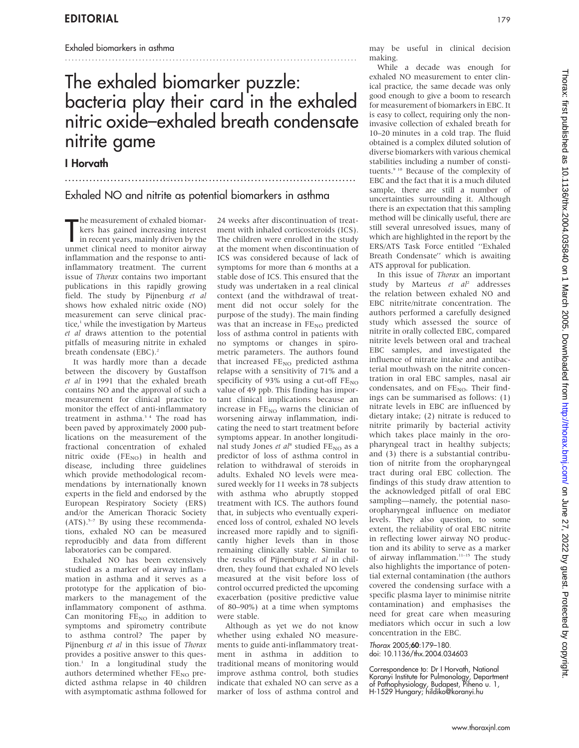#### Exhaled biomarkers in asthma

# The exhaled biomarker puzzle: bacteria play their card in the exhaled nitric oxide–exhaled breath condensate nitrite game

...................................................................................

I Horvath

## Exhaled NO and nitrite as potential biomarkers in asthma

The measurement of exhaled biomar-<br>kers has gained increasing interest<br>in recent years, mainly driven by the<br>unmet clinical need to monitor airway he measurement of exhaled biomarkers has gained increasing interest in recent years, mainly driven by the inflammation and the response to antiinflammatory treatment. The current issue of Thorax contains two important publications in this rapidly growing field. The study by Pijnenburg et al shows how exhaled nitric oxide (NO) measurement can serve clinical practice, $\frac{1}{1}$  while the investigation by Marteus et al draws attention to the potential pitfalls of measuring nitrite in exhaled breath condensate (EBC).<sup>2</sup>

It was hardly more than a decade between the discovery by Gustaffson et al in 1991 that the exhaled breath contains NO and the approval of such a measurement for clinical practice to monitor the effect of anti-inflammatory treatment in asthma.<sup>34</sup> The road has been paved by approximately 2000 publications on the measurement of the fractional concentration of exhaled nitric oxide (FENO) in health and disease, including three guidelines which provide methodological recommendations by internationally known experts in the field and endorsed by the European Respiratory Society (ERS) and/or the American Thoracic Society  $(ATS)$ <sup>5-7</sup> By using these recommendations, exhaled NO can be measured reproducibly and data from different laboratories can be compared.

Exhaled NO has been extensively studied as a marker of airway inflammation in asthma and it serves as a prototype for the application of biomarkers to the management of the inflammatory component of asthma. Can monitoring  $FE_{NO}$  in addition to symptoms and spirometry contribute to asthma control? The paper by Pijnenburg et al in this issue of Thorax provides a positive answer to this question.1 In a longitudinal study the authors determined whether  $FE<sub>NO</sub>$  predicted asthma relapse in 40 children with asymptomatic asthma followed for 24 weeks after discontinuation of treatment with inhaled corticosteroids (ICS). The children were enrolled in the study at the moment when discontinuation of ICS was considered because of lack of symptoms for more than 6 months at a stable dose of ICS. This ensured that the study was undertaken in a real clinical context (and the withdrawal of treatment did not occur solely for the purpose of the study). The main finding was that an increase in  $FE_{NO}$  predicted loss of asthma control in patients with no symptoms or changes in spirometric parameters. The authors found that increased  $FE<sub>NO</sub>$  predicted asthma relapse with a sensitivity of 71% and a specificity of 93% using a cut-off  $FE_{NO}$ value of 49 ppb. This finding has important clinical implications because an increase in  $FE_{NO}$  warns the clinician of worsening airway inflammation, indicating the need to start treatment before symptoms appear. In another longitudinal study Jones et al<sup>8</sup> studied FE<sub>NO</sub> as a predictor of loss of asthma control in relation to withdrawal of steroids in adults. Exhaled NO levels were measured weekly for 11 weeks in 78 subjects with asthma who abruptly stopped treatment with ICS. The authors found that, in subjects who eventually experienced loss of control, exhaled NO levels increased more rapidly and to significantly higher levels than in those remaining clinically stable. Similar to the results of Pijnenburg et al in children, they found that exhaled NO levels measured at the visit before loss of control occurred predicted the upcoming exacerbation (positive predictive value of 80–90%) at a time when symptoms were stable.

Although as yet we do not know whether using exhaled NO measurements to guide anti-inflammatory treatment in asthma in addition to traditional means of monitoring would improve asthma control, both studies indicate that exhaled NO can serve as a marker of loss of asthma control and

may be useful in clinical decision making.

While a decade was enough for exhaled NO measurement to enter clinical practice, the same decade was only good enough to give a boom to research for measurement of biomarkers in EBC. It is easy to collect, requiring only the noninvasive collection of exhaled breath for 10–20 minutes in a cold trap. The fluid obtained is a complex diluted solution of diverse biomarkers with various chemical stabilities including a number of constituents.9 10 Because of the complexity of EBC and the fact that it is a much diluted sample, there are still a number of uncertainties surrounding it. Although there is an expectation that this sampling method will be clinically useful, there are still several unresolved issues, many of which are highlighted in the report by the ERS/ATS Task Force entitled ''Exhaled Breath Condensate'' which is awaiting ATS approval for publication.

In this issue of Thorax an important study by Marteus et al<sup>2</sup> addresses the relation between exhaled NO and EBC nitrite/nitrate concentration. The authors performed a carefully designed study which assessed the source of nitrite in orally collected EBC, compared nitrite levels between oral and tracheal EBC samples, and investigated the influence of nitrate intake and antibacterial mouthwash on the nitrite concentration in oral EBC samples, nasal air condensates, and on  $FE_{NO}$ . Their findings can be summarised as follows: (1) nitrate levels in EBC are influenced by dietary intake; (2) nitrate is reduced to nitrite primarily by bacterial activity which takes place mainly in the oropharyngeal tract in healthy subjects; and (3) there is a substantial contribution of nitrite from the oropharyngeal tract during oral EBC collection. The findings of this study draw attention to the acknowledged pitfall of oral EBC sampling—namely, the potential nasooropharyngeal influence on mediator levels. They also question, to some extent, the reliability of oral EBC nitrite in reflecting lower airway NO production and its ability to serve as a marker of airway inflammation.<sup>11-15</sup> The study also highlights the importance of potential external contamination (the authors covered the condensing surface with a specific plasma layer to minimise nitrite contamination) and emphasises the need for great care when measuring mediators which occur in such a low concentration in the EBC.

Thorax 2005;60:179–180. doi: 10.1136/thx.2004.034603

Correspondence to: Dr I Horvath, National Koranyi Institute for Pulmonology, Department of Pathophysiology, Budapest, Piheno u. 1, H-1529 Hungary; hildiko@koranyi.hu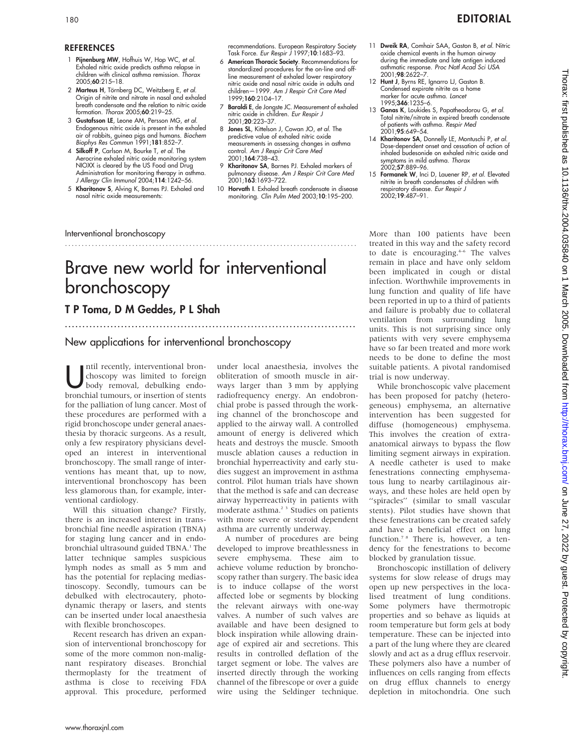#### REFERENCES

- Pijnenburg MW, Hofhuis W, Hop WC, et al. Exhaled nitric oxide predicts asthma relapse in children with clinical asthma remission. Thorax 2005;60:215–18.
- 2 **Marteus H**, Törnberg DC, Weitzberg E, *et al.*<br>Origin of nitrite and nitrate in nasal and exhaled breath condensate and the relation to nitric oxide formation. Thorax 2005;60:219–25.
- 3 Gustafsson LE, Leone AM, Persson MG, et al. Endogenous nitric oxide is present in the exhaled air of rabbits, guinea pigs and humans. Biochem Biophys Res Commun 1991;181:852–7.
- 4 Silkoff P, Carlson M, Bourke T, et al. The Aerocrine exhaled nitric oxide monitoring system NIOXX is cleared by the US Food and Drug Administration for monitoring therapy in asthma. J Allergy Clin Immunol 2004; 114: 1242-56.
- 5 Kharitonov S, Alving K, Barnes PJ. Exhaled and nasal nitric oxide measurements:

#### Interventional bronchoscopy

.......................................................................................

#### recommendations. European Respiratory Society Task Force. Eur Respir J 1997;10:1683-93.

- 6 American Thoracic Society. Recommendations for standardized procedures for the on-line and offline measurement of exhaled lower respiratory nitric oxide and nasal nitric oxide in adults and children—1999. Am J Respir Crit Care Med 1999;160:2104–17.
- 7 Baraldi E, de Jongste JC. Measurement of exhaled nitric oxide in children. Eur Respir J 2001;20:223–37.
- 8 Jones SL, Kittelson J, Cowan JO, et al. The predictive value of exhaled nitric oxide measurements in assessing changes in asthma control. Am J Respir Crit Care Med 2001;164:738–43.
- 9 Kharitonov SA, Barnes PJ. Exhaled markers of pulmonary disease. *Am J Respir Crit Care Med*<br>2001;**163**:1693–722.
- 10 Horvath I. Exhaled breath condensate in disease monitoring. Clin Pulm Med 2003;10:195–200.
- 11 Dweik RA, Comhair SAA, Gaston B, et al. Nitric oxide chemical events in the human airway during the immediate and late antigen induced asthmatic response. Proc Natl Acad Sci USA 2001;98:2622–7.
- 12 Hunt J, Byrns RE, Ignarro LJ, Gaston B. Condensed expirate nitrite as a home marker for acute asthma. Lancet 1995;**346**:1235–6.
- 13 Ganas K, Loukides S, Papatheodorou G, et al. Total nitrite/nitrate in expired breath condensate of patients with asthma. Respir Med 2001;95:649–54.
- 14 Kharitonov SA, Donnelly LE, Montuschi P, et al. Dose-dependent onset and cessation of action of inhaled budesonide on exhaled nitric oxide and symptoms in mild asthma. *Thorax*<br>2002;**57**:889–96.
- 15 Formanek W, Inci D, Lauener RP, et al. Elevated nitrite in breath condensates of children with respiratory disease. Eur Respir J  $2002 \cdot 19.487 - 91$

# Brave new world for interventional bronchoscopy

...................................................................................

## T P Toma, D M Geddes, P L Shah

New applications for interventional bronchoscopy

Intil recently, interventional bron-<br>
choscopy was limited to foreign<br>
body removal, debulking endochoscopy was limited to foreign bronchial tumours, or insertion of stents for the palliation of lung cancer. Most of these procedures are performed with a rigid bronchoscope under general anaesthesia by thoracic surgeons. As a result, only a few respiratory physicians developed an interest in interventional bronchoscopy. The small range of interventions has meant that, up to now, interventional bronchoscopy has been less glamorous than, for example, interventional cardiology.

Will this situation change? Firstly, there is an increased interest in transbronchial fine needle aspiration (TBNA) for staging lung cancer and in endobronchial ultrasound guided TBNA.<sup>1</sup> The latter technique samples suspicious lymph nodes as small as 5 mm and has the potential for replacing mediastinoscopy. Secondly, tumours can be debulked with electrocautery, photodynamic therapy or lasers, and stents can be inserted under local anaesthesia with flexible bronchoscopes.

Recent research has driven an expansion of interventional bronchoscopy for some of the more common non-malignant respiratory diseases. Bronchial thermoplasty for the treatment of asthma is close to receiving FDA approval. This procedure, performed under local anaesthesia, involves the obliteration of smooth muscle in airways larger than 3 mm by applying radiofrequency energy. An endobronchial probe is passed through the working channel of the bronchoscope and applied to the airway wall. A controlled amount of energy is delivered which heats and destroys the muscle. Smooth muscle ablation causes a reduction in bronchial hyperreactivity and early studies suggest an improvement in asthma control. Pilot human trials have shown that the method is safe and can decrease airway hyperreactivity in patients with moderate asthma.<sup>2</sup> <sup>3</sup> Studies on patients with more severe or steroid dependent asthma are currently underway.

A number of procedures are being developed to improve breathlessness in severe emphysema. These aim to achieve volume reduction by bronchoscopy rather than surgery. The basic idea is to induce collapse of the worst affected lobe or segments by blocking the relevant airways with one-way valves. A number of such valves are available and have been designed to block inspiration while allowing drainage of expired air and secretions. This results in controlled deflation of the target segment or lobe. The valves are inserted directly through the working channel of the fibrescope or over a guide wire using the Seldinger technique.

More than 100 patients have been treated in this way and the safety record to date is encouraging.4–6 The valves remain in place and have only seldom been implicated in cough or distal infection. Worthwhile improvements in lung function and quality of life have been reported in up to a third of patients and failure is probably due to collateral ventilation from surrounding lung units. This is not surprising since only patients with very severe emphysema have so far been treated and more work needs to be done to define the most suitable patients. A pivotal randomised trial is now underway.

While bronchoscopic valve placement has been proposed for patchy (heterogeneous) emphysema, an alternative intervention has been suggested for diffuse (homogeneous) emphysema. This involves the creation of extraanatomical airways to bypass the flow limiting segment airways in expiration. A needle catheter is used to make fenestrations connecting emphysematous lung to nearby cartilaginous airways, and these holes are held open by ''spiracles'' (similar to small vascular stents). Pilot studies have shown that these fenestrations can be created safely and have a beneficial effect on lung function.<sup>7 8</sup> There is, however, a tendency for the fenestrations to become blocked by granulation tissue.

Bronchoscopic instillation of delivery systems for slow release of drugs may open up new perspectives in the localised treatment of lung conditions. Some polymers have thermotropic properties and so behave as liquids at room temperature but form gels at body temperature. These can be injected into a part of the lung where they are cleared slowly and act as a drug efflux reservoir. These polymers also have a number of influences on cells ranging from effects on drug efflux channels to energy depletion in mitochondria. One such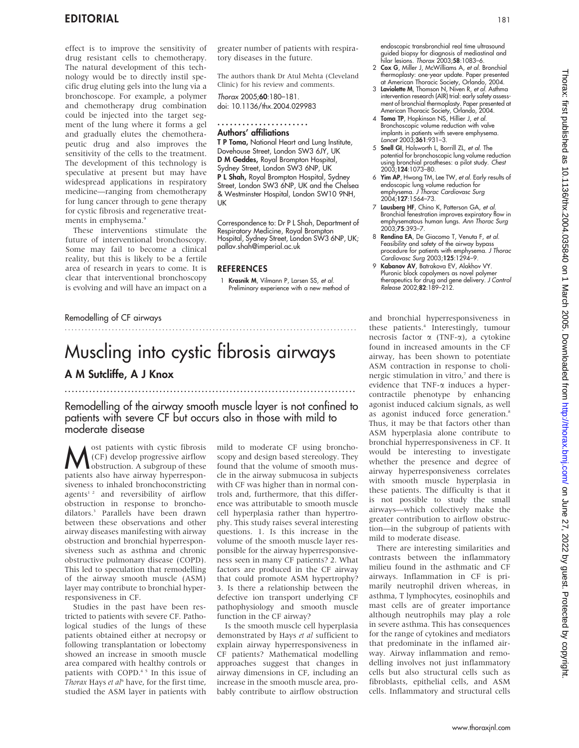effect is to improve the sensitivity of drug resistant cells to chemotherapy. The natural development of this technology would be to directly instil specific drug eluting gels into the lung via a bronchoscope. For example, a polymer and chemotherapy drug combination could be injected into the target segment of the lung where it forms a gel and gradually elutes the chemotherapeutic drug and also improves the sensitivity of the cells to the treatment. The development of this technology is speculative at present but may have widespread applications in respiratory medicine—ranging from chemotherapy for lung cancer through to gene therapy for cystic fibrosis and regenerative treatments in emphysema.<sup>9</sup>

These interventions stimulate the future of interventional bronchoscopy. Some may fail to become a clinical reality, but this is likely to be a fertile area of research in years to come. It is clear that interventional bronchoscopy is evolving and will have an impact on a

greater number of patients with respiratory diseases in the future.

The authors thank Dr Atul Mehta (Cleveland Clinic) for his review and comments.

Thorax 2005;60:180–181. doi: 10.1136/thx.2004.029983

......................

### Authors' affiliations

T P Toma, National Heart and Lung Institute, Dovehouse Street, London SW3 6JY, UK D M Geddes, Royal Brompton Hospital, Sydney Street, London SW3 6NP, UK P L Shah, Royal Brompton Hospital, Sydney Street, London SW3 6NP, UK and the Chelsea & Westminster Hospital, London SW10 9NH, UK

Correspondence to: Dr P L Shah, Department of Respiratory Medicine, Royal Brompton Hospital, Sydney Street, London SW3 6NP, UK; pallav.shah@imperial.ac.uk

#### REFERENCES

.......................................................................................

1 Krasnik M, Vilmann P, Larsen SS, et al. Preliminary experience with a new method of

Remodelling of CF airways

## Muscling into cystic fibrosis airways A M Sutcliffe, A J Knox

Remodelling of the airway smooth muscle layer is not confined to patients with severe CF but occurs also in those with mild to moderate disease

...................................................................................

**M** (CF) develop progressive airflow<br>obstruction. A subgroup of these<br>patients also have airway hypergeon (CF) develop progressive airflow **l**obstruction. A subgroup of these patients also have airway hyperresponsiveness to inhaled bronchoconstricting agents<sup>12</sup> and reversibility of airflow obstruction in response to bronchodilators.3 Parallels have been drawn between these observations and other airway diseases manifesting with airway obstruction and bronchial hyperresponsiveness such as asthma and chronic obstructive pulmonary disease (COPD). This led to speculation that remodelling of the airway smooth muscle (ASM) layer may contribute to bronchial hyperresponsiveness in CF.

Studies in the past have been restricted to patients with severe CF. Pathological studies of the lungs of these patients obtained either at necropsy or following transplantation or lobectomy showed an increase in smooth muscle area compared with healthy controls or patients with COPD.<sup>45</sup> In this issue of Thorax Hays et al<sup>6</sup> have, for the first time, studied the ASM layer in patients with mild to moderate CF using bronchoscopy and design based stereology. They found that the volume of smooth muscle in the airway submucosa in subjects with CF was higher than in normal controls and, furthermore, that this difference was attributable to smooth muscle cell hyperplasia rather than hypertrophy. This study raises several interesting questions. 1. Is this increase in the volume of the smooth muscle layer responsible for the airway hyperresponsiveness seen in many CF patients? 2. What factors are produced in the CF airway that could promote ASM hypertrophy? 3. Is there a relationship between the defective ion transport underlying CF pathophysiology and smooth muscle function in the CF airway?

Is the smooth muscle cell hyperplasia demonstrated by Hays et al sufficient to explain airway hyperresponsiveness in CF patients? Mathematical modelling approaches suggest that changes in airway dimensions in CF, including an increase in the smooth muscle area, probably contribute to airflow obstruction

endoscopic transbronchial real time ultrasound guided biopsy for diagnosis of mediastinal and<br>hilar lesions. *Thorax* 2003;**58**:1083–6.<br>2 **Cox G**, Miller J, McWilliams A, *et al*. Bronchial

- thermoplasty: one-year update. Paper presented at American Thoracic Society, Orlando, 2004.
- 3 Laviolette M, Thomson N, Niven R, et al. Asthma intervention research (AIR) trial: early safety assessment of bronchial thermoplasty. Paper presented at American Thoracic Society, Orlando, 2004.
- 4 Toma TP, Hopkinson NS, Hillier J, et al. Bronchoscopic volume reduction with valve implants in patients with severe emphysema.<br>*Lancet* 2003;**361**:931–3.
- 5 Snell GI, Holsworth L, Borrill ZL, et al. The potential for bronchoscopic lung volume reduction using bronchial prostheses: a pilot study. Chest 2003;124:1073–80.
- 6 Yim AP, Hwong TM, Lee TW, et al. Early results of endoscopic lung volume reduction for emphysema. J Thorac Cardiovasc Surg 2004;127:1564–73.
- 7 Lausberg HF, Chino K, Patterson GA, et al. Bronchial fenestration improves expiratory flow in emphysematous human lungs. Ann Thorac Surg 2003;75:393–7.
- 8 Rendina EA, De Giacomo T, Venuta F, et al. Feasibility and safety of the airway bypass procedure for patients with emphysema. J Thorac Cardiovasc Surg 2003;125:1294–9.
- 9 Kabanov AV, Batrakova EV, Alakhov VY. Pluronic block copolymers as novel polymer therapeutics for drug and gene delivery. *J Control*<br>*Release* 2002;**82**:189–212.

and bronchial hyperresponsiveness in these patients.<sup>4</sup> Interestingly, tumour necrosis factor  $\alpha$  (TNF- $\alpha$ ), a cytokine found in increased amounts in the CF airway, has been shown to potentiate ASM contraction in response to cholinergic stimulation in vitro, $\bar{z}$  and there is evidence that  $TNF-\alpha$  induces a hypercontractile phenotype by enhancing agonist induced calcium signals, as well as agonist induced force generation.<sup>8</sup> Thus, it may be that factors other than ASM hyperplasia alone contribute to bronchial hyperresponsiveness in CF. It would be interesting to investigate whether the presence and degree of airway hyperresponsiveness correlates with smooth muscle hyperplasia in these patients. The difficulty is that it is not possible to study the small airways—which collectively make the greater contribution to airflow obstruction—in the subgroup of patients with mild to moderate disease.

There are interesting similarities and contrasts between the inflammatory milieu found in the asthmatic and CF airways. Inflammation in CF is primarily neutrophil driven whereas, in asthma, T lymphocytes, eosinophils and mast cells are of greater importance although neutrophils may play a role in severe asthma. This has consequences for the range of cytokines and mediators that predominate in the inflamed airway. Airway inflammation and remodelling involves not just inflammatory cells but also structural cells such as fibroblasts, epithelial cells, and ASM cells. Inflammatory and structural cells